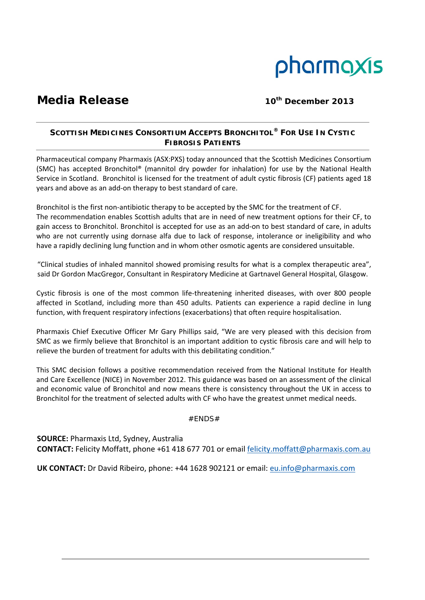

# **Media Release** 10th 2013

## **SCOTTISH MEDICINES CONSORTIUM ACCEPTS BRONCHITOL® FOR USE IN CYSTIC FIBROSIS PATIENTS**

Pharmaceutical company Pharmaxis (ASX:PXS) today announced that the Scottish Medicines Consortium (SMC) has accepted Bronchitol® (mannitol dry powder for inhalation) for use by the National Health Service in Scotland. Bronchitol is licensed for the treatment of adult cystic fibrosis (CF) patients aged 18 years and above as an add‐on therapy to best standard of care.

Bronchitol is the first non-antibiotic therapy to be accepted by the SMC for the treatment of CF. The recommendation enables Scottish adults that are in need of new treatment options for their CF, to gain access to Bronchitol. Bronchitol is accepted for use as an add‐on to best standard of care, in adults who are not currently using dornase alfa due to lack of response, intolerance or ineligibility and who have a rapidly declining lung function and in whom other osmotic agents are considered unsuitable.

"Clinical studies of inhaled mannitol showed promising results for what is a complex therapeutic area", said Dr Gordon MacGregor, Consultant in Respiratory Medicine at Gartnavel General Hospital, Glasgow.

Cystic fibrosis is one of the most common life‐threatening inherited diseases, with over 800 people affected in Scotland, including more than 450 adults. Patients can experience a rapid decline in lung function, with frequent respiratory infections (exacerbations) that often require hospitalisation.

Pharmaxis Chief Executive Officer Mr Gary Phillips said, "We are very pleased with this decision from SMC as we firmly believe that Bronchitol is an important addition to cystic fibrosis care and will help to relieve the burden of treatment for adults with this debilitating condition."

This SMC decision follows a positive recommendation received from the National Institute for Health and Care Excellence (NICE) in November 2012. This guidance was based on an assessment of the clinical and economic value of Bronchitol and now means there is consistency throughout the UK in access to Bronchitol for the treatment of selected adults with CF who have the greatest unmet medical needs.

### #ENDS#

**SOURCE:** Pharmaxis Ltd, Sydney, Australia **CONTACT:** Felicity Moffatt, phone +61 418 677 701 or email felicity.moffatt@pharmaxis.com.au

**UK CONTACT:** Dr David Ribeiro, phone: +44 1628 902121 or email: eu.info@pharmaxis.com